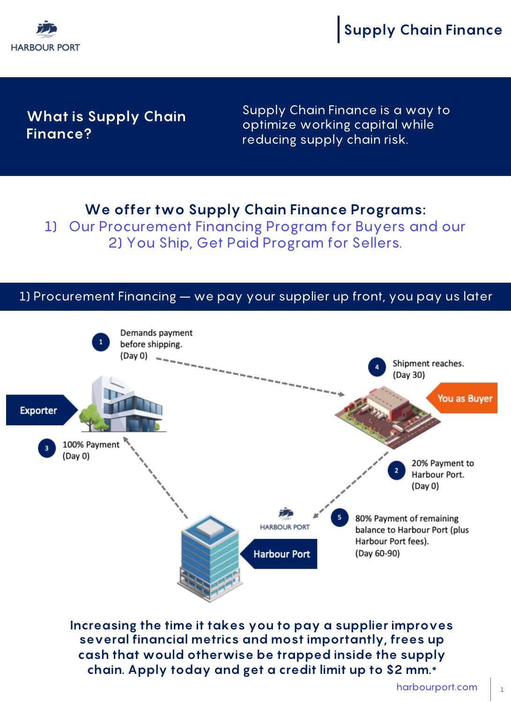

**Supply Chain Finance**

## **What is Supply Chain Finance?**

Supply Chain Finance is a way to optimize working capital while reducing supply chain risk.

## **We offer two Supply Chain Finance Programs:**

1) Our Procurement Financing Program for Buyers and our 2) You Ship, Get Paid Program for Sellers.

## 1) Procurement Financing – we pay your supplier up front, you pay us later